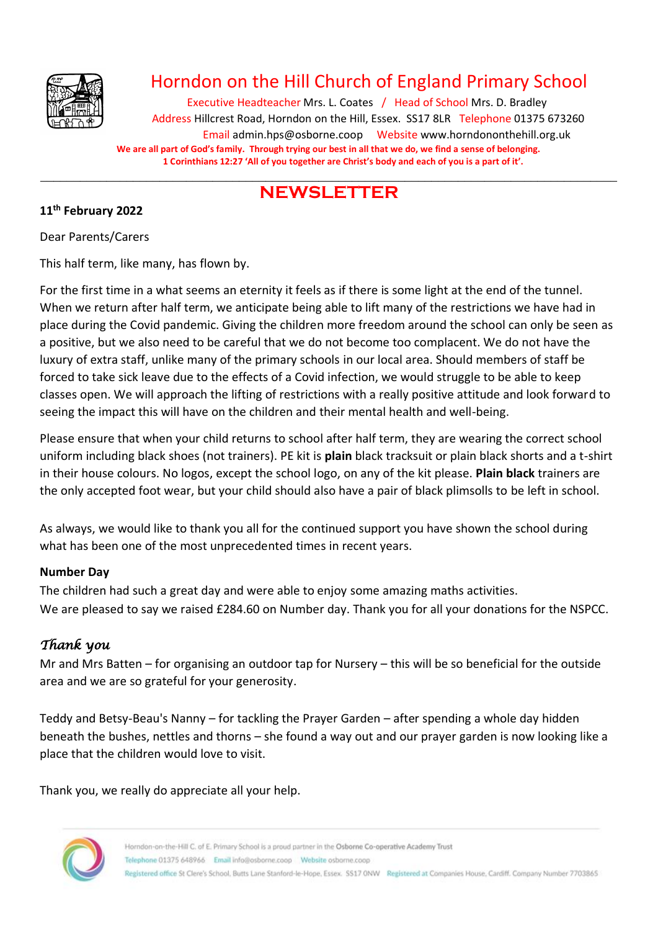

## Horndon on the Hill Church of England Primary School

Executive Headteacher Mrs. L. Coates / Head of School Mrs. D. Bradley Address Hillcrest Road, Horndon on the Hill, Essex. SS17 8LR Telephone 01375 673260 Email admin.hps@osborne.coop Websit[e www.horndononthehill.org.uk](http://www.horndononthehill.org.uk/) **We are all part of God's family. Through trying our best in all that we do, we find a sense of belonging. 1 Corinthians 12:27 'All of you together are Christ's body and each of you is a part of it'.**

#### \_\_\_\_\_\_\_\_\_\_\_\_\_\_\_\_\_\_\_\_\_\_\_\_\_\_\_\_\_\_\_\_\_\_\_\_\_\_\_\_\_\_\_\_\_\_\_\_\_\_\_\_\_\_\_\_\_\_\_\_\_\_\_\_\_\_\_\_\_\_\_\_\_\_\_\_\_\_\_\_\_\_\_\_\_\_\_ **NEWSLETTER**

#### **11th February 2022**

Dear Parents/Carers

This half term, like many, has flown by.

For the first time in a what seems an eternity it feels as if there is some light at the end of the tunnel. When we return after half term, we anticipate being able to lift many of the restrictions we have had in place during the Covid pandemic. Giving the children more freedom around the school can only be seen as a positive, but we also need to be careful that we do not become too complacent. We do not have the luxury of extra staff, unlike many of the primary schools in our local area. Should members of staff be forced to take sick leave due to the effects of a Covid infection, we would struggle to be able to keep classes open. We will approach the lifting of restrictions with a really positive attitude and look forward to seeing the impact this will have on the children and their mental health and well-being.

Please ensure that when your child returns to school after half term, they are wearing the correct school uniform including black shoes (not trainers). PE kit is **plain** black tracksuit or plain black shorts and a t-shirt in their house colours. No logos, except the school logo, on any of the kit please. **Plain black** trainers are the only accepted foot wear, but your child should also have a pair of black plimsolls to be left in school.

As always, we would like to thank you all for the continued support you have shown the school during what has been one of the most unprecedented times in recent years.

#### **Number Day**

The children had such a great day and were able to enjoy some amazing maths activities. We are pleased to say we raised £284.60 on Number day. Thank you for all your donations for the NSPCC.

### *Thank you*

Mr and Mrs Batten – for organising an outdoor tap for Nursery – this will be so beneficial for the outside area and we are so grateful for your generosity.

Teddy and Betsy-Beau's Nanny – for tackling the Prayer Garden – after spending a whole day hidden beneath the bushes, nettles and thorns – she found a way out and our prayer garden is now looking like a place that the children would love to visit.

Thank you, we really do appreciate all your help.

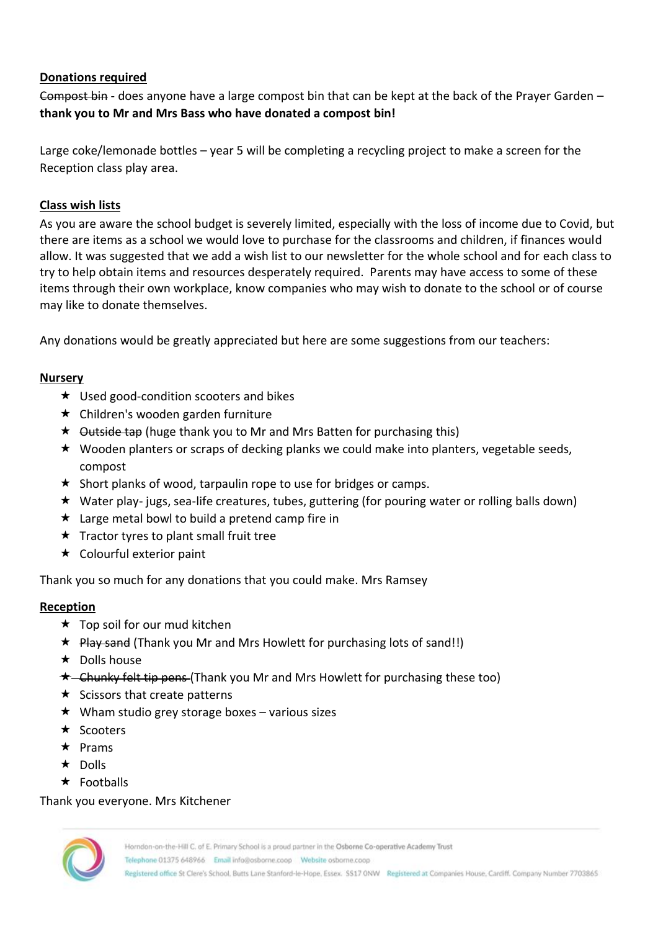#### **Donations required**

Compost bin - does anyone have a large compost bin that can be kept at the back of the Prayer Garden – **thank you to Mr and Mrs Bass who have donated a compost bin!**

Large coke/lemonade bottles – year 5 will be completing a recycling project to make a screen for the Reception class play area.

#### **Class wish lists**

As you are aware the school budget is severely limited, especially with the loss of income due to Covid, but there are items as a school we would love to purchase for the classrooms and children, if finances would allow. It was suggested that we add a wish list to our newsletter for the whole school and for each class to try to help obtain items and resources desperately required. Parents may have access to some of these items through their own workplace, know companies who may wish to donate to the school or of course may like to donate themselves.

Any donations would be greatly appreciated but here are some suggestions from our teachers:

#### **Nursery**

- $\star$  Used good-condition scooters and bikes
- **★** Children's wooden garden furniture
- $\star$  Outside tap (huge thank you to Mr and Mrs Batten for purchasing this)
- ★ Wooden planters or scraps of decking planks we could make into planters, vegetable seeds, compost
- $\star$  Short planks of wood, tarpaulin rope to use for bridges or camps.
- Water play- jugs, sea-life creatures, tubes, guttering (for pouring water or rolling balls down)
- $\star$  Large metal bowl to build a pretend camp fire in
- $\star$  Tractor tyres to plant small fruit tree
- $\star$  Colourful exterior paint

Thank you so much for any donations that you could make. Mrs Ramsey

#### **Reception**

- $\star$  Top soil for our mud kitchen
- $\star$  Play sand (Thank you Mr and Mrs Howlett for purchasing lots of sand!!)
- $\star$  Dolls house
- $\star$  Chunky felt tip pens (Thank you Mr and Mrs Howlett for purchasing these too)
- $\star$  Scissors that create patterns
- $\star$  Wham studio grey storage boxes various sizes
- $\star$  Scooters
- $\star$  Prams
- $\star$  Dolls
- $\star$  Footballs

#### Thank you everyone. Mrs Kitchener



Telephone 01375 648966 Email info@osborne.coop Website osborne.coop

Registered office St Clere's School, Butts Lane Stanford-le-Hope, Essex. SS17 ONW Registered at Companies House, Cardiff. Company Number 7703865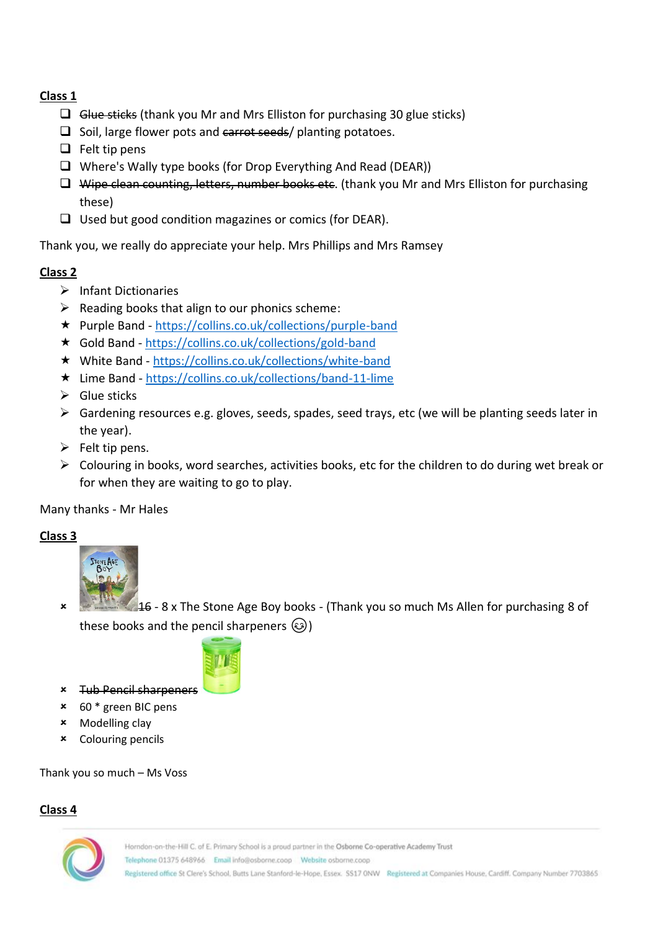#### **Class 1**

- ❑ Glue sticks (thank you Mr and Mrs Elliston for purchasing 30 glue sticks)
- □ Soil, large flower pots and earrot seeds/ planting potatoes.
- $\Box$  Felt tip pens
- ❑ Where's Wally type books (for Drop Everything And Read (DEAR))
- ❑ Wipe clean counting, letters, number books etc. (thank you Mr and Mrs Elliston for purchasing these)
- ❑ Used but good condition magazines or comics (for DEAR).

Thank you, we really do appreciate your help. Mrs Phillips and Mrs Ramsey

#### **Class 2**

- ➢ Infant Dictionaries
- $\triangleright$  Reading books that align to our phonics scheme:
- Purple Band <https://collins.co.uk/collections/purple-band>
- Gold Band <https://collins.co.uk/collections/gold-band>
- White Band <https://collins.co.uk/collections/white-band>
- Lime Band <https://collins.co.uk/collections/band-11-lime>
- ➢ Glue sticks
- ➢ Gardening resources e.g. gloves, seeds, spades, seed trays, etc (we will be planting seeds later in the year).
- $\triangleright$  Felt tip pens.
- $\triangleright$  Colouring in books, word searches, activities books, etc for the children to do during wet break or for when they are waiting to go to play.

Many thanks - Mr Hales

#### **Class 3**



 $46$  - 8 x The Stone Age Boy books - (Thank you so much Ms Allen for purchasing 8 of these books and the pencil sharpeners  $\circled{3}$ )



- Tub Pencil sharpeners
- 60 \* green BIC pens
- Modelling clay
- Colouring pencils

Thank you so much – Ms Voss

#### **Class 4**

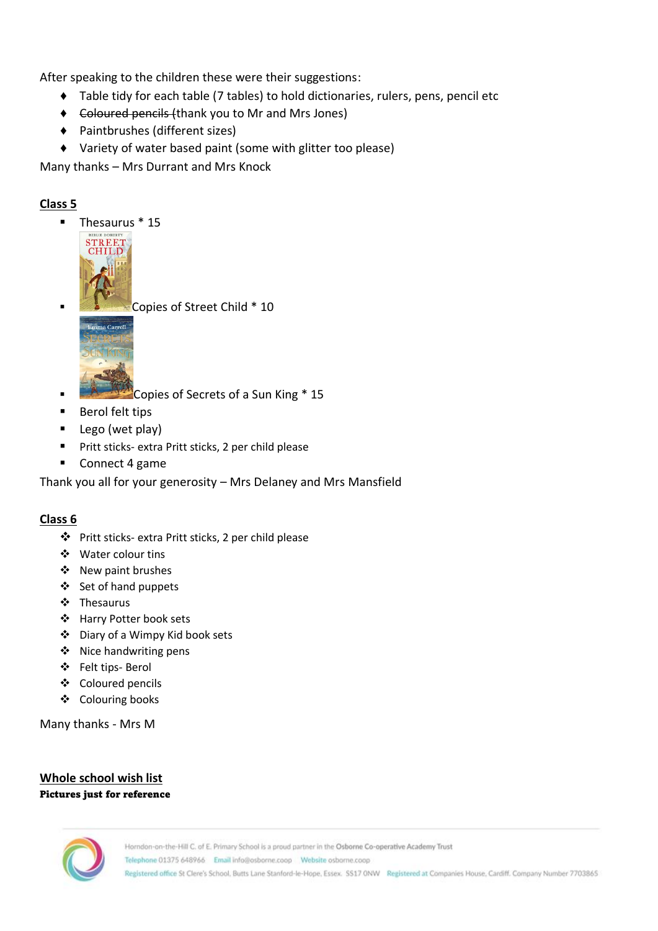After speaking to the children these were their suggestions:

- ♦ Table tidy for each table (7 tables) to hold dictionaries, rulers, pens, pencil etc
- ♦ Coloured pencils (thank you to Mr and Mrs Jones)
- ♦ Paintbrushes (different sizes)
- ♦ Variety of water based paint (some with glitter too please)

Many thanks – Mrs Durrant and Mrs Knock

#### **Class 5**

▪ Thesaurus \* 15



▪ Copies of Street Child \* 10



- Copies of Secrets of a Sun King \* 15
- Berol felt tips
- Lego (wet play)
- Pritt sticks- extra Pritt sticks, 2 per child please
- Connect 4 game

Thank you all for your generosity – Mrs Delaney and Mrs Mansfield

#### **Class 6**

- ❖ Pritt sticks- extra Pritt sticks, 2 per child please
- ❖ Water colour tins
- ❖ New paint brushes
- ❖ Set of hand puppets
- ❖ Thesaurus
- ❖ Harry Potter book sets
- ❖ Diary of a Wimpy Kid book sets
- ❖ Nice handwriting pens
- ❖ Felt tips- Berol
- ❖ Coloured pencils
- ❖ Colouring books

Many thanks - Mrs M

#### **Whole school wish list**  Pictures just for reference

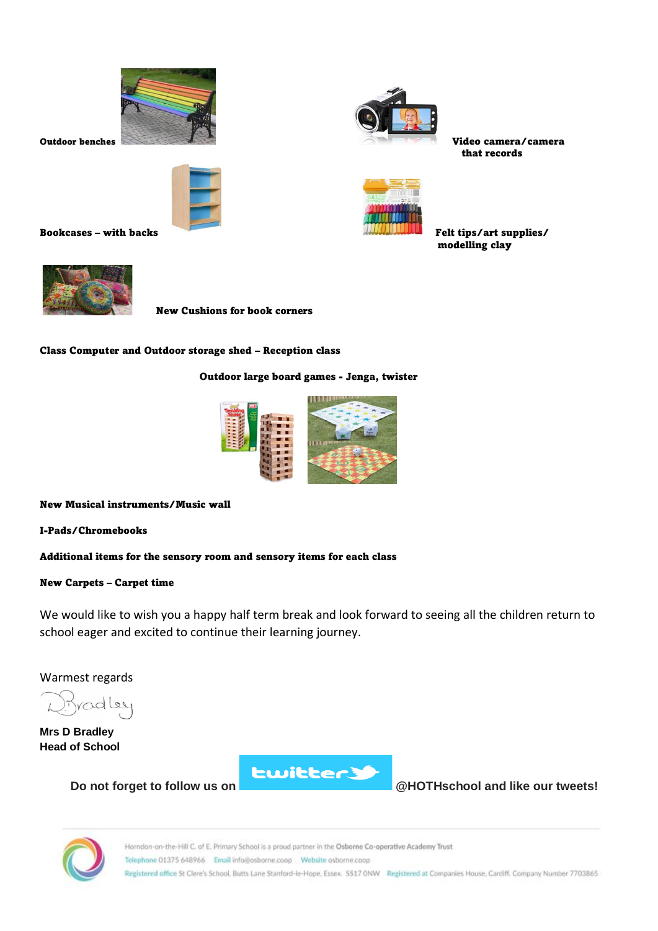



Bookcases – with backs Felt tips/art supplies/



Outdoor benches Video camera/camera that records



modelling clay



New Cushions for book corners

Class Computer and Outdoor storage shed – Reception class

Outdoor large board games - Jenga, twister



New Musical instruments/Music wall

I-Pads/Chromebooks

Additional items for the sensory room and sensory items for each class

#### New Carpets – Carpet time

We would like to wish you a happy half term break and look forward to seeing all the children return to school eager and excited to continue their learning journey.

Warmest regards

radley

**Mrs D Bradley Head of School**



**Do not forget to follow us on @HOTHschool and like our tweets!**

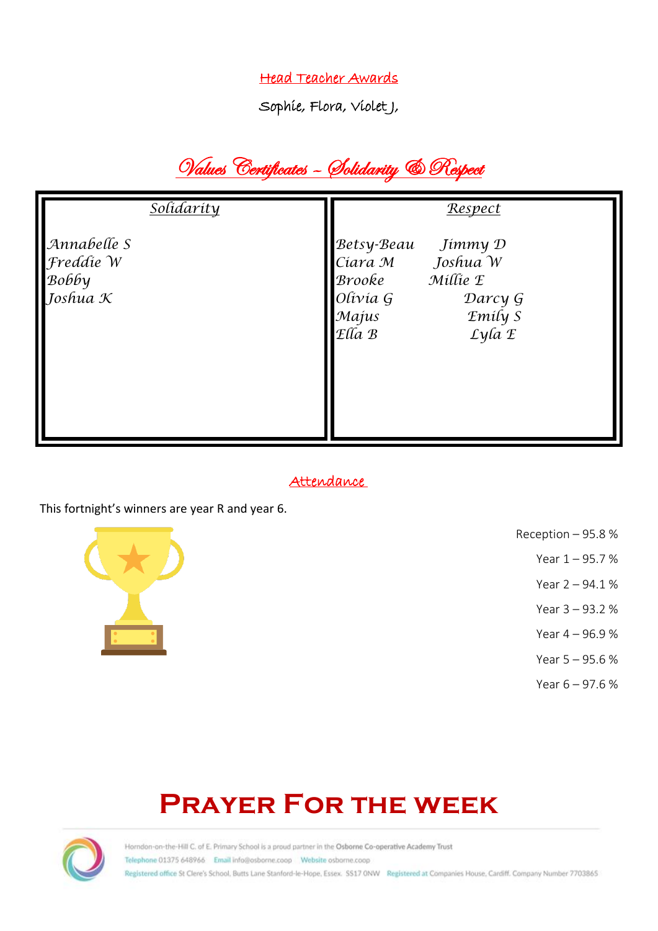### Head Teacher Awards

Sophie, Flora, VioletJ,

# Values Certificates – Solidarity & Respect

| <u>Solidarity</u>                                        | Respect                                                                                                                             |
|----------------------------------------------------------|-------------------------------------------------------------------------------------------------------------------------------------|
| Annabelle S<br>Freddie W<br>Воббу<br>Joshua $\mathcal K$ | Betsy-Beau<br>Jímmy D<br>Ciara M Joshua W<br>Millie E<br>Brooke<br>Olivia G<br>Darcy G<br>Emily S<br>Majus<br>$E$ lla $B$<br>Lyla E |

#### Attendance

This fortnight's winners are year R and year 6.



- Reception 95.8 %
	- Year 1 95.7 %
	- Year 2 94.1 %
		- Year 3 93.2 %
	- Year 4 96.9 %
	- Year 5 95.6 %
	- Year 6 97.6 %

# **Prayer For the week**

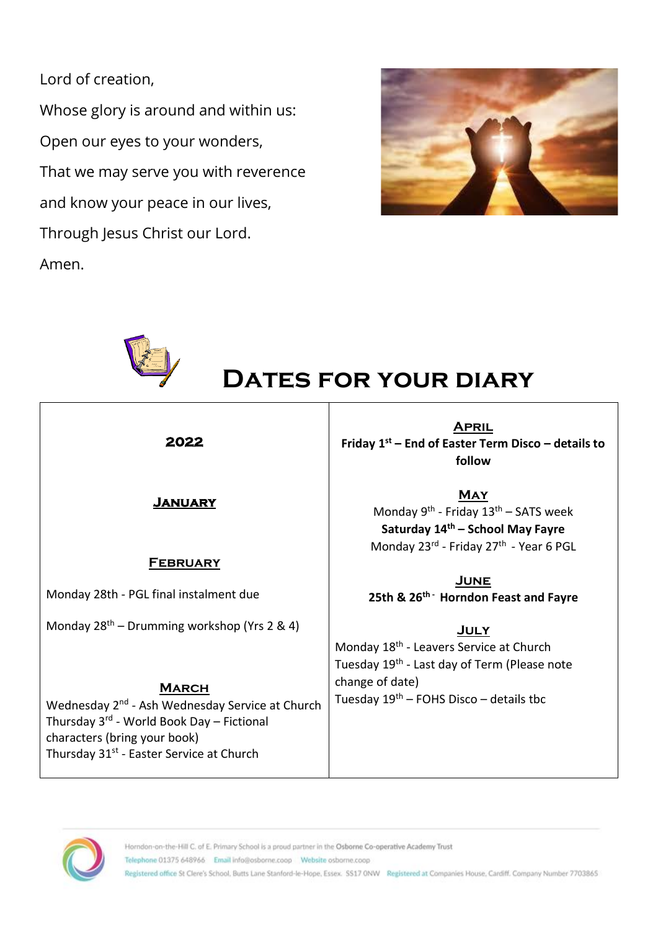Lord of creation,

Whose glory is around and within us: Open our eyes to your wonders, That we may serve you with reverence and know your peace in our lives, Through Jesus Christ our Lord. Amen.





# **Dates for your diary**

|--|

#### **January**

#### **February**

Monday 28th - PGL final instalment due

Monday  $28<sup>th</sup>$  – Drumming workshop (Yrs 2 & 4)

#### **March**

Wednesday 2<sup>nd</sup> - Ash Wednesday Service at Church Thursday 3rd - World Book Day – Fictional characters (bring your book) Thursday 31<sup>st</sup> - Easter Service at Church

**April Friday 1st – End of Easter Term Disco – details to follow**

> **May** Monday 9<sup>th</sup> - Friday 13<sup>th</sup> – SATS week **Saturday 14th – School May Fayre** Monday 23rd - Friday 27<sup>th</sup> - Year 6 PGL

**June 25th & 26th - Horndon Feast and Fayre**

#### **July**

Monday 18<sup>th</sup> - Leavers Service at Church Tuesday 19<sup>th</sup> - Last day of Term (Please note change of date) Tuesday  $19<sup>th</sup>$  – FOHS Disco – details tbc

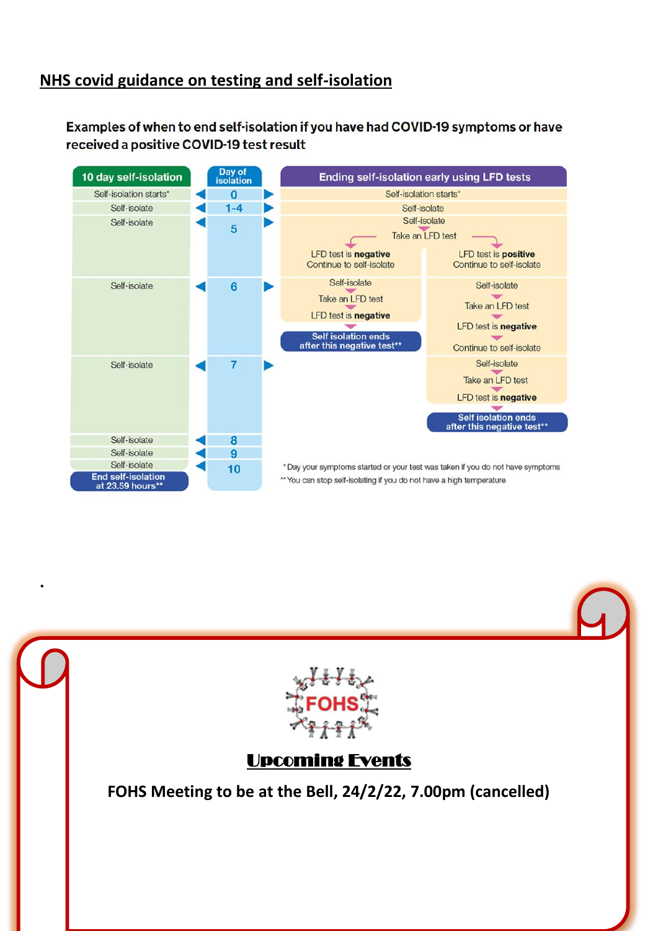## **NHS covid guidance on testing and self-isolation**

.

Examples of when to end self-isolation if you have had COVID-19 symptoms or have received a positive COVID-19 test result



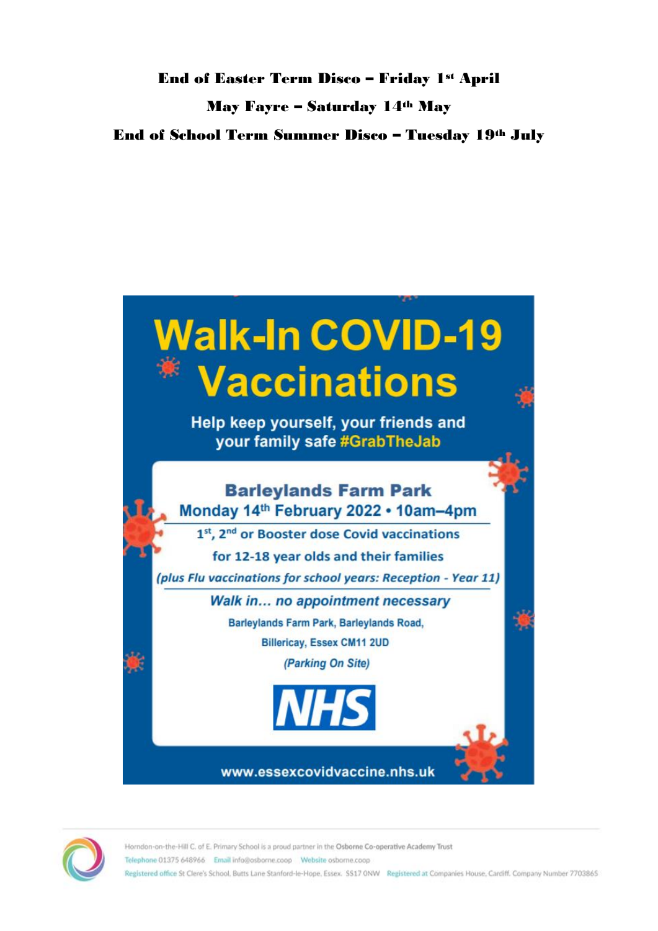## End of Easter Term Disco – Friday 1st April May Fayre – Saturday 14th May End of School Term Summer Disco – Tuesday 19th July